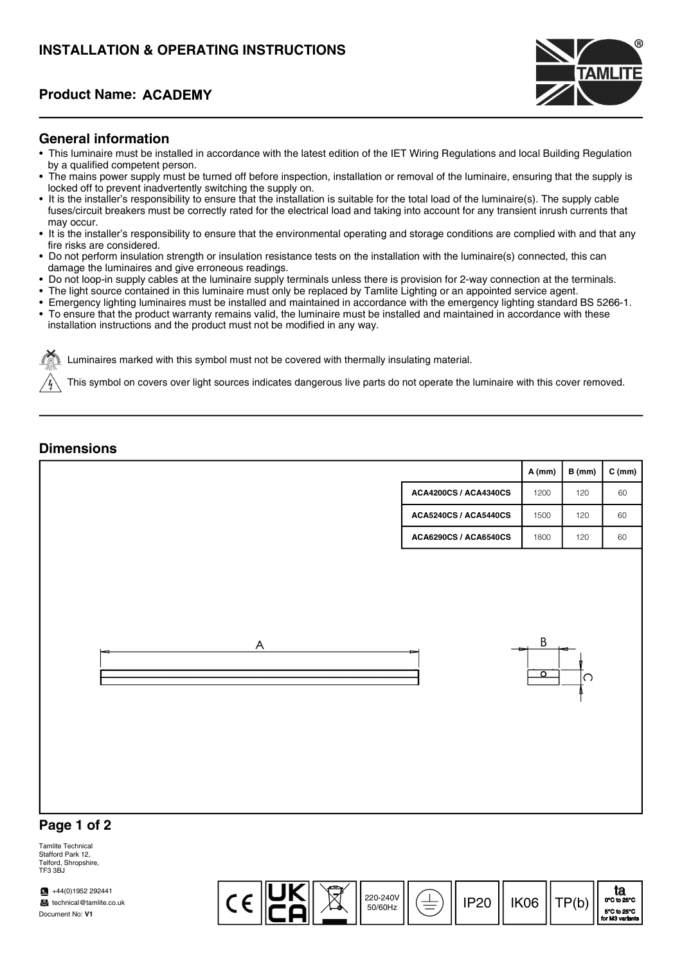# INSTALLATION & OPERATING INSTRUCTIONS

# Product Name:



### General information

- This luminaire must be installed in accordance with the latest edition of the IET Wiring Regulations and local Building Regulation by a qualified competent person.
- The mains power supply must be turned off before inspection, installation or removal of the luminaire, ensuring that the supply is locked off to prevent inadvertently switching the supply on.
- It is the installer's responsibility to ensure that the installation is suitable for the total load of the luminaire(s). The supply cable fuses/circuit breakers must be correctly rated for the electrical load and taking into account for any transient inrush currents that may occur.
- It is the installer's responsibility to ensure that the environmental operating and storage conditions are complied with and that any fire risks are considered.
- Do not perform insulation strength or insulation resistance tests on the installation with the luminaire(s) connected, this can damage the luminaires and give erroneous readings.
- Do not loop-in supply cables at the luminaire supply terminals unless there is provision for 2-way connection at the terminals.
- The light source contained in this luminaire must only be replaced by Tamlite Lighting or an appointed service agent.
- Emergency lighting luminaires must be installed and maintained in accordance with the emergency lighting standard BS 5266-1.
- To ensure that the product warranty remains valid, the luminaire must be installed and maintained in accordance with these installation instructions and the product must not be modified in any way.

Luminaires marked with this symbol must not be covered with thermally insulating material.

This symbol on covers over light sources indicates dangerous live parts do not operate the luminaire with this cover removed.

### **Dimensions**

|                              | A (mm)                  | B(mm) | $C$ (mm) |
|------------------------------|-------------------------|-------|----------|
| <b>ACA4200CS / ACA4340CS</b> | 1200                    | 120   | 60       |
| <b>ACA5240CS / ACA5440CS</b> | 1500                    | 120   | 60       |
| <b>ACA6290CS / ACA6540CS</b> | 1800                    | 120   | 60       |
| A<br>▬                       | B<br>$\overline{\circ}$ | ∣റ    |          |
| Page 1 of 2                  |                         |       |          |

#### Tamlite Technical Stafford Park 12, Telford, Shropshire,

 $\sqrt{44(0)}$ 1952 292441 TE3 3BJ

technical@tamlite.co.uk Document No: V1